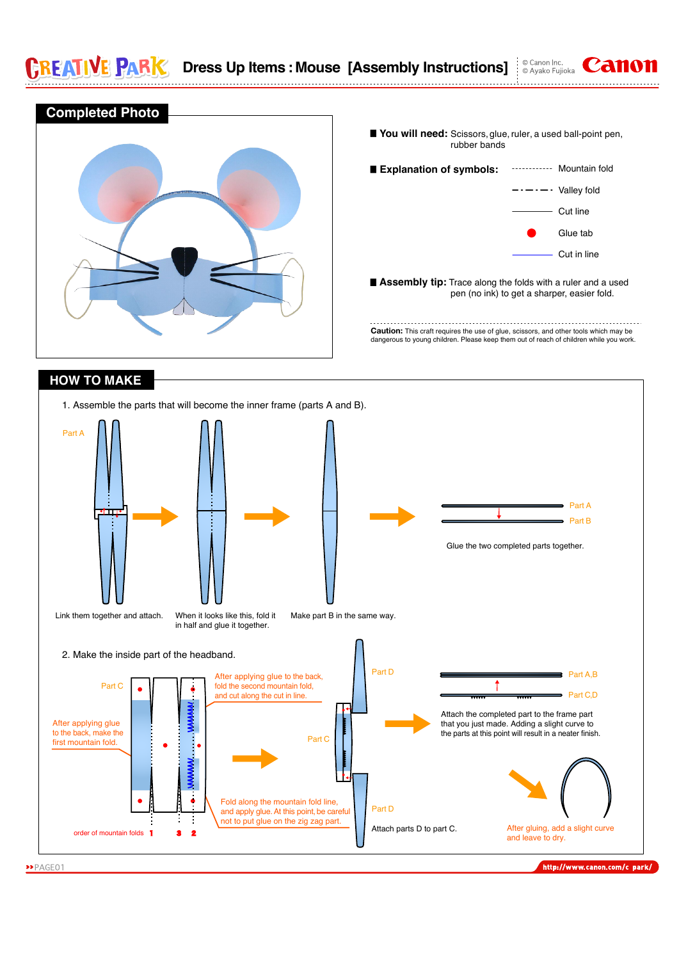E PAR